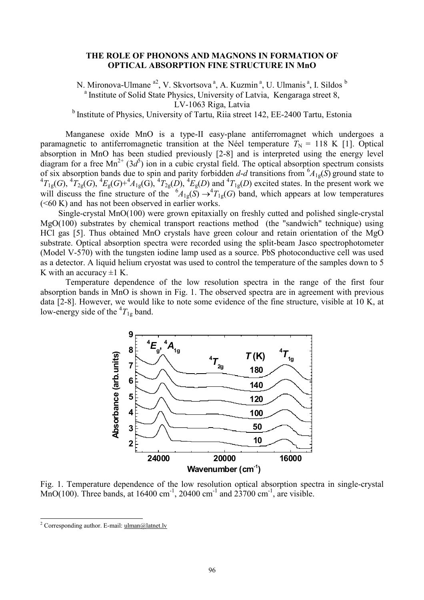## **THE ROLE OF PHONONS AND MAGNONS IN FORMATION OF OPTICAL ABSORPTION FINE STRUCTURE IN MnO**

N. Mironova-Ulmane <sup>a2</sup>, V. Skvortsova<sup>a</sup>, A. Kuzmin<sup>a</sup>, U. Ulmanis<sup>a</sup>, I. Sildos <sup>b</sup> <sup>a</sup> Institute of Solid State Physics, University of Latvia, Kengaraga street 8, LV-1063 Riga, Latvia

<sup>b</sup> Institute of Physics, University of Tartu, Riia street 142, EE-2400 Tartu, Estonia

Manganese oxide MnO is a type-II easy-plane antiferromagnet which undergoes a paramagnetic to antiferromagnetic transition at the Néel temperature  $T_N = 118$  K [1]. Optical absorption in MnO has been studied previously [2-8] and is interpreted using the energy level diagram for a free  $Mn^{2+}$  (3*d*<sup>5</sup>) ion in a cubic crystal field. The optical absorption spectrum consists of six absorption bands due to spin and parity forbidden  $d-d$  transitions from  ${}^6A_{1g}(S)$  ground state to  ${}^4T_{1g}(G)$ ,  ${}^4T_{2g}(G)$ ,  ${}^4E_g(G) + {}^4A_{1g}(G)$ ,  ${}^4T_{2g}(D)$ ,  ${}^4E_g(D)$  and  ${}^4T_{1g}(D)$  excited states. In the will discuss the fine structure of the  ${}^6A_{1g}(S) \rightarrow {}^4T_{1g}(G)$  band, which appears at low temperatures  $( $60 \text{ K}$ )$  and has not been observed in earlier works.

Single-crystal MnO(100) were grown epitaxially on freshly cutted and polished single-crystal MgO(100) substrates by chemical transport reactions method (the "sandwich" technique) using HCl gas [5]. Thus obtained MnO crystals have green colour and retain orientation of the MgO substrate. Optical absorption spectra were recorded using the split-beam Jasco spectrophotometer (Model V-570) with the tungsten iodine lamp used as a source. PbS photoconductive cell was used as a detector. A liquid helium cryostat was used to control the temperature of the samples down to 5 K with an accuracy  $\pm 1$  K.

Temperature dependence of the low resolution spectra in the range of the first four absorption bands in MnO is shown in Fig. 1. The observed spectra are in agreement with previous data [2-8]. However, we would like to note some evidence of the fine structure, visible at 10 K, at low-energy side of the  ${}^{4}T_{1g}$  band.



Fig. 1. Temperature dependence of the low resolution optical absorption spectra in single-crystal MnO(100). Three bands, at 16400 cm<sup>-1</sup>, 20400 cm<sup>-1</sup> and 23700 cm<sup>-1</sup>, are visible.

 $\overline{a}$ 

<sup>&</sup>lt;sup>2</sup> Corresponding author. E-mail:  $\frac{1}{\text{m}an(a)}$ latnet.ly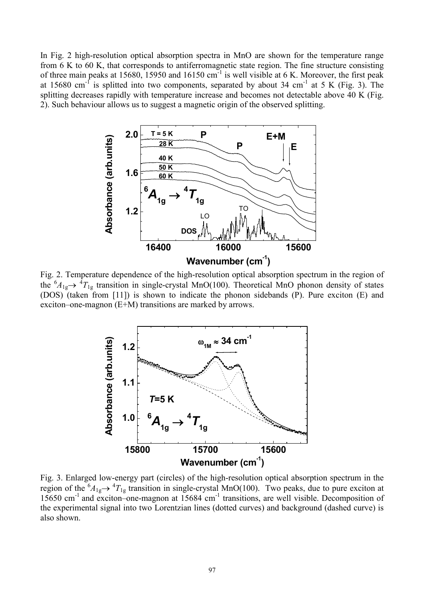In Fig. 2 high-resolution optical absorption spectra in MnO are shown for the temperature range from 6 K to 60 K, that corresponds to antiferromagnetic state region. The fine structure consisting of three main peaks at 15680, 15950 and 16150  $cm^{-1}$  is well visible at 6 K. Moreover, the first peak at 15680 cm<sup>-f</sup> is splitted into two components, separated by about 34 cm<sup>-1</sup> at 5 K (Fig. 3). The splitting decreases rapidly with temperature increase and becomes not detectable above 40 K (Fig. 2). Such behaviour allows us to suggest a magnetic origin of the observed splitting.



Fig. 2. Temperature dependence of the high-resolution optical absorption spectrum in the region of the  ${}^6A_{1g} \rightarrow {}^4T_{1g}$  transition in single-crystal MnO(100). Theoretical MnO phonon density of states (DOS) (taken from [11]) is shown to indicate the phonon sidebands (P). Pure exciton (E) and exciton–one-magnon (E+M) transitions are marked by arrows.



Fig. 3. Enlarged low-energy part (circles) of the high-resolution optical absorption spectrum in the region of the  ${}^6A_{1g} \rightarrow {}^4T_{1g}$  transition in single-crystal MnO(100). Two peaks, due to pure exciton at 15650 cm<sup>-1</sup> and exciton–one-magnon at 15684 cm<sup>-1</sup> transitions, are well visible. Decomposition of the experimental signal into two Lorentzian lines (dotted curves) and background (dashed curve) is also shown.